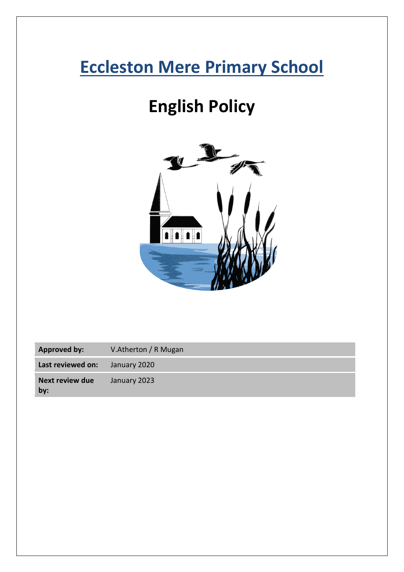# **Eccleston Mere Primary School**

# **English Policy**



**Approved by:** V.Atherton / R Mugan

**Last reviewed on:** January 2020

**Next review due by:** January 2023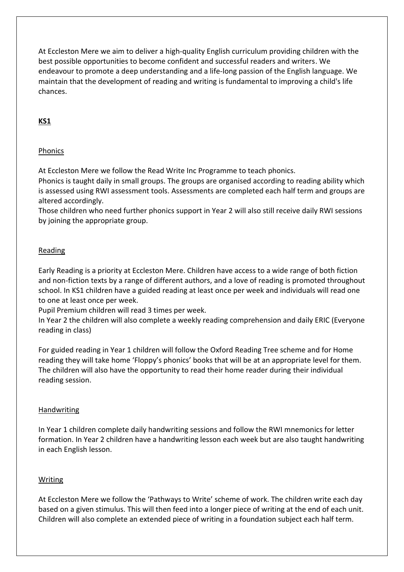At Eccleston Mere we aim to deliver a high-quality English curriculum providing children with the best possible opportunities to become confident and successful readers and writers. We endeavour to promote a deep understanding and a life-long passion of the English language. We maintain that the development of reading and writing is fundamental to improving a child's life chances.

# **KS1**

# **Phonics**

At Eccleston Mere we follow the Read Write Inc Programme to teach phonics.

Phonics is taught daily in small groups. The groups are organised according to reading ability which is assessed using RWI assessment tools. Assessments are completed each half term and groups are altered accordingly.

Those children who need further phonics support in Year 2 will also still receive daily RWI sessions by joining the appropriate group.

# Reading

Early Reading is a priority at Eccleston Mere. Children have access to a wide range of both fiction and non-fiction texts by a range of different authors, and a love of reading is promoted throughout school. In KS1 children have a guided reading at least once per week and individuals will read one to one at least once per week.

Pupil Premium children will read 3 times per week.

In Year 2 the children will also complete a weekly reading comprehension and daily ERIC (Everyone reading in class)

For guided reading in Year 1 children will follow the Oxford Reading Tree scheme and for Home reading they will take home 'Floppy's phonics' books that will be at an appropriate level for them. The children will also have the opportunity to read their home reader during their individual reading session.

# Handwriting

In Year 1 children complete daily handwriting sessions and follow the RWI mnemonics for letter formation. In Year 2 children have a handwriting lesson each week but are also taught handwriting in each English lesson.

# Writing

At Eccleston Mere we follow the 'Pathways to Write' scheme of work. The children write each day based on a given stimulus. This will then feed into a longer piece of writing at the end of each unit. Children will also complete an extended piece of writing in a foundation subject each half term.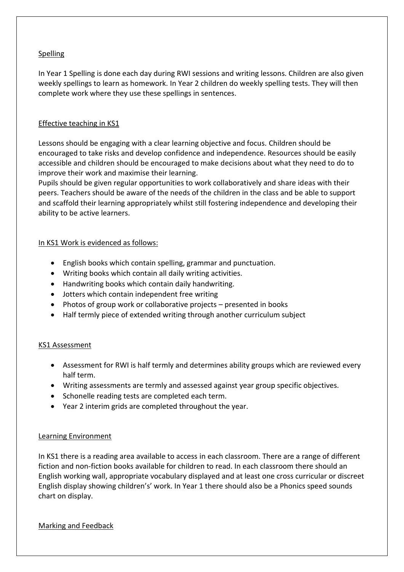# **Spelling**

In Year 1 Spelling is done each day during RWI sessions and writing lessons. Children are also given weekly spellings to learn as homework. In Year 2 children do weekly spelling tests. They will then complete work where they use these spellings in sentences.

# Effective teaching in KS1

Lessons should be engaging with a clear learning objective and focus. Children should be encouraged to take risks and develop confidence and independence. Resources should be easily accessible and children should be encouraged to make decisions about what they need to do to improve their work and maximise their learning.

Pupils should be given regular opportunities to work collaboratively and share ideas with their peers. Teachers should be aware of the needs of the children in the class and be able to support and scaffold their learning appropriately whilst still fostering independence and developing their ability to be active learners.

#### In KS1 Work is evidenced as follows:

- English books which contain spelling, grammar and punctuation.
- Writing books which contain all daily writing activities.
- Handwriting books which contain daily handwriting.
- Jotters which contain independent free writing
- Photos of group work or collaborative projects presented in books
- Half termly piece of extended writing through another curriculum subject

# KS1 Assessment

- Assessment for RWI is half termly and determines ability groups which are reviewed every half term.
- Writing assessments are termly and assessed against year group specific objectives.
- Schonelle reading tests are completed each term.
- Year 2 interim grids are completed throughout the year.

#### Learning Environment

In KS1 there is a reading area available to access in each classroom. There are a range of different fiction and non-fiction books available for children to read. In each classroom there should an English working wall, appropriate vocabulary displayed and at least one cross curricular or discreet English display showing children's' work. In Year 1 there should also be a Phonics speed sounds chart on display.

#### Marking and Feedback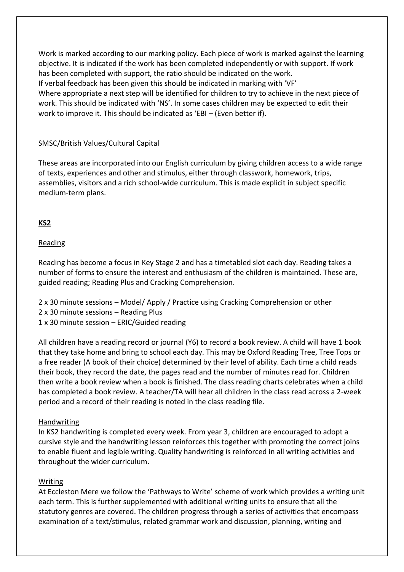Work is marked according to our marking policy. Each piece of work is marked against the learning objective. It is indicated if the work has been completed independently or with support. If work has been completed with support, the ratio should be indicated on the work. If verbal feedback has been given this should be indicated in marking with 'VF' Where appropriate a next step will be identified for children to try to achieve in the next piece of work. This should be indicated with 'NS'. In some cases children may be expected to edit their work to improve it. This should be indicated as 'EBI – (Even better if).

#### SMSC/British Values/Cultural Capital

These areas are incorporated into our English curriculum by giving children access to a wide range of texts, experiences and other and stimulus, either through classwork, homework, trips, assemblies, visitors and a rich school-wide curriculum. This is made explicit in subject specific medium-term plans.

#### **KS2**

#### Reading

Reading has become a focus in Key Stage 2 and has a timetabled slot each day. Reading takes a number of forms to ensure the interest and enthusiasm of the children is maintained. These are, guided reading; Reading Plus and Cracking Comprehension.

- 2 x 30 minute sessions Model/ Apply / Practice using Cracking Comprehension or other
- 2 x 30 minute sessions Reading Plus
- 1 x 30 minute session ERIC/Guided reading

All children have a reading record or journal (Y6) to record a book review. A child will have 1 book that they take home and bring to school each day. This may be Oxford Reading Tree, Tree Tops or a free reader (A book of their choice) determined by their level of ability. Each time a child reads their book, they record the date, the pages read and the number of minutes read for. Children then write a book review when a book is finished. The class reading charts celebrates when a child has completed a book review. A teacher/TA will hear all children in the class read across a 2-week period and a record of their reading is noted in the class reading file.

#### Handwriting

In KS2 handwriting is completed every week. From year 3, children are encouraged to adopt a cursive style and the handwriting lesson reinforces this together with promoting the correct joins to enable fluent and legible writing. Quality handwriting is reinforced in all writing activities and throughout the wider curriculum.

#### Writing

At Eccleston Mere we follow the 'Pathways to Write' scheme of work which provides a writing unit each term. This is further supplemented with additional writing units to ensure that all the statutory genres are covered. The children progress through a series of activities that encompass examination of a text/stimulus, related grammar work and discussion, planning, writing and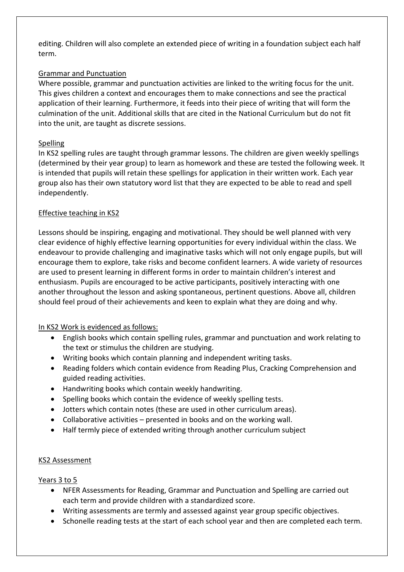editing. Children will also complete an extended piece of writing in a foundation subject each half term.

# Grammar and Punctuation

Where possible, grammar and punctuation activities are linked to the writing focus for the unit. This gives children a context and encourages them to make connections and see the practical application of their learning. Furthermore, it feeds into their piece of writing that will form the culmination of the unit. Additional skills that are cited in the National Curriculum but do not fit into the unit, are taught as discrete sessions.

### Spelling

In KS2 spelling rules are taught through grammar lessons. The children are given weekly spellings (determined by their year group) to learn as homework and these are tested the following week. It is intended that pupils will retain these spellings for application in their written work. Each year group also has their own statutory word list that they are expected to be able to read and spell independently.

### Effective teaching in KS2

Lessons should be inspiring, engaging and motivational. They should be well planned with very clear evidence of highly effective learning opportunities for every individual within the class. We endeavour to provide challenging and imaginative tasks which will not only engage pupils, but will encourage them to explore, take risks and become confident learners. A wide variety of resources are used to present learning in different forms in order to maintain children's interest and enthusiasm. Pupils are encouraged to be active participants, positively interacting with one another throughout the lesson and asking spontaneous, pertinent questions. Above all, children should feel proud of their achievements and keen to explain what they are doing and why.

# In KS2 Work is evidenced as follows:

- English books which contain spelling rules, grammar and punctuation and work relating to the text or stimulus the children are studying.
- Writing books which contain planning and independent writing tasks.
- Reading folders which contain evidence from Reading Plus, Cracking Comprehension and guided reading activities.
- Handwriting books which contain weekly handwriting.
- Spelling books which contain the evidence of weekly spelling tests.
- Jotters which contain notes (these are used in other curriculum areas).
- Collaborative activities presented in books and on the working wall.
- Half termly piece of extended writing through another curriculum subject

# KS2 Assessment

# Years 3 to 5

- NFER Assessments for Reading, Grammar and Punctuation and Spelling are carried out each term and provide children with a standardized score.
- Writing assessments are termly and assessed against year group specific objectives.
- Schonelle reading tests at the start of each school year and then are completed each term.